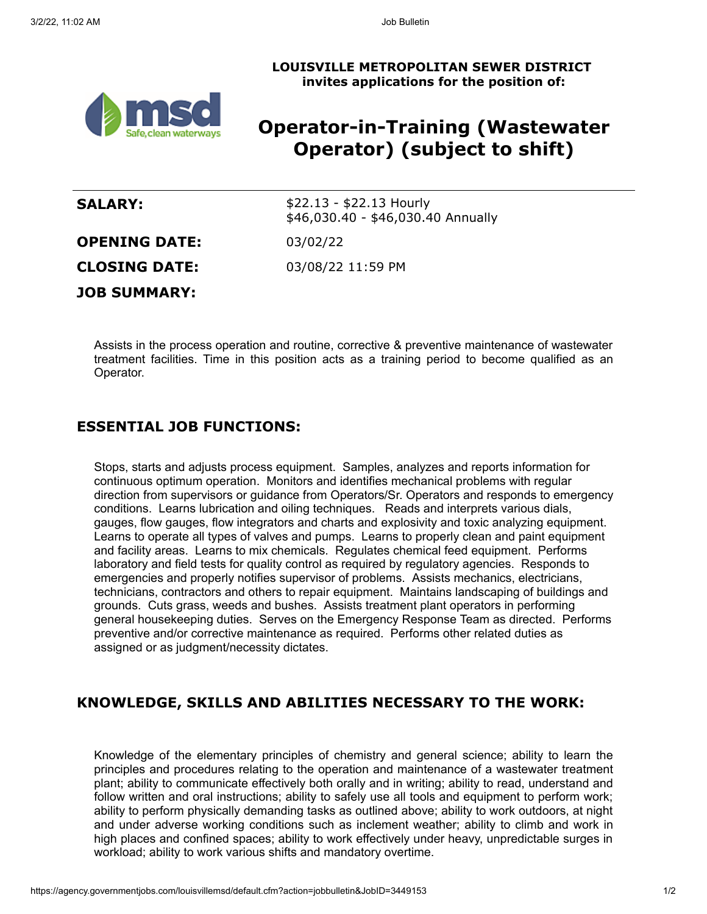



# **Operator-in-Training (Wastewater Operator) (subject to shift)**

| <b>SALARY:</b>       | $$22.13 - $22.13$ Hourly<br>\$46,030.40 - \$46,030.40 Annually |
|----------------------|----------------------------------------------------------------|
| <b>OPENING DATE:</b> | 03/02/22                                                       |
| <b>CLOSING DATE:</b> | 03/08/22 11:59 PM                                              |
| <b>JOB SUMMARY:</b>  |                                                                |

Assists in the process operation and routine, corrective & preventive maintenance of wastewater treatment facilities. Time in this position acts as a training period to become qualified as an Operator.

## **ESSENTIAL JOB FUNCTIONS:**

Stops, starts and adjusts process equipment. Samples, analyzes and reports information for continuous optimum operation. Monitors and identifies mechanical problems with regular direction from supervisors or guidance from Operators/Sr. Operators and responds to emergency conditions. Learns lubrication and oiling techniques. Reads and interprets various dials, gauges, flow gauges, flow integrators and charts and explosivity and toxic analyzing equipment. Learns to operate all types of valves and pumps. Learns to properly clean and paint equipment and facility areas. Learns to mix chemicals. Regulates chemical feed equipment. Performs laboratory and field tests for quality control as required by regulatory agencies. Responds to emergencies and properly notifies supervisor of problems. Assists mechanics, electricians, technicians, contractors and others to repair equipment. Maintains landscaping of buildings and grounds. Cuts grass, weeds and bushes. Assists treatment plant operators in performing general housekeeping duties. Serves on the Emergency Response Team as directed. Performs preventive and/or corrective maintenance as required. Performs other related duties as assigned or as judgment/necessity dictates.

### **KNOWLEDGE, SKILLS AND ABILITIES NECESSARY TO THE WORK:**

Knowledge of the elementary principles of chemistry and general science; ability to learn the principles and procedures relating to the operation and maintenance of a wastewater treatment plant; ability to communicate effectively both orally and in writing; ability to read, understand and follow written and oral instructions; ability to safely use all tools and equipment to perform work; ability to perform physically demanding tasks as outlined above; ability to work outdoors, at night and under adverse working conditions such as inclement weather; ability to climb and work in high places and confined spaces; ability to work effectively under heavy, unpredictable surges in workload; ability to work various shifts and mandatory overtime.